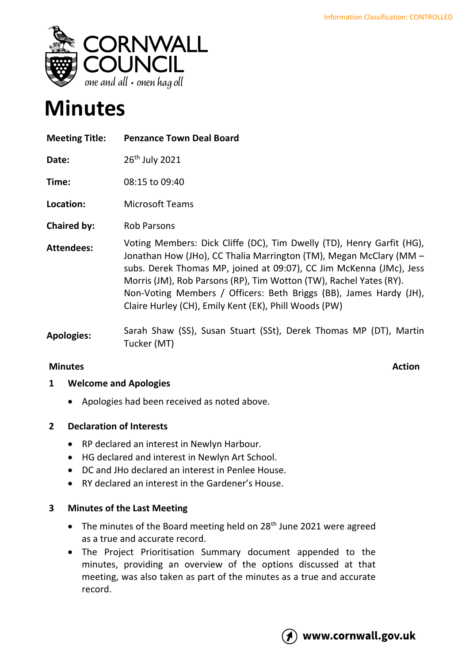

# **Minutes**

| <b>Meeting Title:</b> | <b>Penzance Town Deal Board</b>                                                                                                                                                                                                                                                                                                                                                                                         |
|-----------------------|-------------------------------------------------------------------------------------------------------------------------------------------------------------------------------------------------------------------------------------------------------------------------------------------------------------------------------------------------------------------------------------------------------------------------|
| Date:                 | 26 <sup>th</sup> July 2021                                                                                                                                                                                                                                                                                                                                                                                              |
| Time:                 | 08:15 to 09:40                                                                                                                                                                                                                                                                                                                                                                                                          |
| Location:             | <b>Microsoft Teams</b>                                                                                                                                                                                                                                                                                                                                                                                                  |
| Chaired by:           | <b>Rob Parsons</b>                                                                                                                                                                                                                                                                                                                                                                                                      |
| <b>Attendees:</b>     | Voting Members: Dick Cliffe (DC), Tim Dwelly (TD), Henry Garfit (HG),<br>Jonathan How (JHo), CC Thalia Marrington (TM), Megan McClary (MM -<br>subs. Derek Thomas MP, joined at 09:07), CC Jim McKenna (JMc), Jess<br>Morris (JM), Rob Parsons (RP), Tim Wotton (TW), Rachel Yates (RY).<br>Non-Voting Members / Officers: Beth Briggs (BB), James Hardy (JH),<br>Claire Hurley (CH), Emily Kent (EK), Phill Woods (PW) |
| <b>Apologies:</b>     | Sarah Shaw (SS), Susan Stuart (SSt), Derek Thomas MP (DT), Martin<br>Tucker (MT)                                                                                                                                                                                                                                                                                                                                        |

# **Minutes** Action

# **1 Welcome and Apologies**

• Apologies had been received as noted above.

# **2 Declaration of Interests**

- RP declared an interest in Newlyn Harbour.
- HG declared and interest in Newlyn Art School.
- DC and JHo declared an interest in Penlee House.
- RY declared an interest in the Gardener's House.

#### **3 Minutes of the Last Meeting**

- The minutes of the Board meeting held on 28<sup>th</sup> June 2021 were agreed as a true and accurate record.
- The Project Prioritisation Summary document appended to the minutes, providing an overview of the options discussed at that meeting, was also taken as part of the minutes as a true and accurate record.

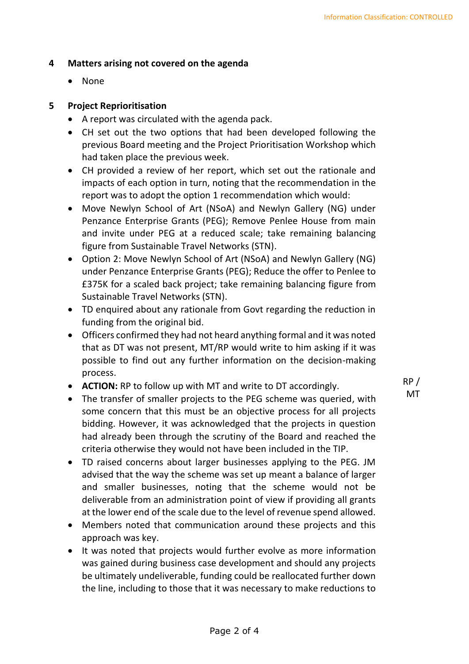#### **4 Matters arising not covered on the agenda**

• None

### **5 Project Reprioritisation**

- A report was circulated with the agenda pack.
- CH set out the two options that had been developed following the previous Board meeting and the Project Prioritisation Workshop which had taken place the previous week.
- CH provided a review of her report, which set out the rationale and impacts of each option in turn, noting that the recommendation in the report was to adopt the option 1 recommendation which would:
- Move Newlyn School of Art (NSoA) and Newlyn Gallery (NG) under Penzance Enterprise Grants (PEG); Remove Penlee House from main and invite under PEG at a reduced scale; take remaining balancing figure from Sustainable Travel Networks (STN).
- Option 2: Move Newlyn School of Art (NSoA) and Newlyn Gallery (NG) under Penzance Enterprise Grants (PEG); Reduce the offer to Penlee to £375K for a scaled back project; take remaining balancing figure from Sustainable Travel Networks (STN).
- TD enquired about any rationale from Govt regarding the reduction in funding from the original bid.
- Officers confirmed they had not heard anything formal and it was noted that as DT was not present, MT/RP would write to him asking if it was possible to find out any further information on the decision-making process.
- **ACTION:** RP to follow up with MT and write to DT accordingly.
- The transfer of smaller projects to the PEG scheme was queried, with some concern that this must be an objective process for all projects bidding. However, it was acknowledged that the projects in question had already been through the scrutiny of the Board and reached the criteria otherwise they would not have been included in the TIP.
- TD raised concerns about larger businesses applying to the PEG. JM advised that the way the scheme was set up meant a balance of larger and smaller businesses, noting that the scheme would not be deliverable from an administration point of view if providing all grants at the lower end of the scale due to the level of revenue spend allowed.
- Members noted that communication around these projects and this approach was key.
- It was noted that projects would further evolve as more information was gained during business case development and should any projects be ultimately undeliverable, funding could be reallocated further down the line, including to those that it was necessary to make reductions to

RP / MT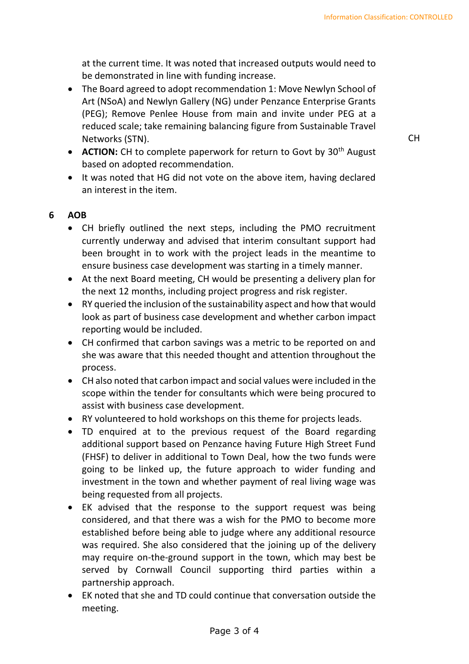at the current time. It was noted that increased outputs would need to be demonstrated in line with funding increase.

• The Board agreed to adopt recommendation 1: Move Newlyn School of Art (NSoA) and Newlyn Gallery (NG) under Penzance Enterprise Grants (PEG); Remove Penlee House from main and invite under PEG at a reduced scale; take remaining balancing figure from Sustainable Travel Networks (STN).

CH

- **ACTION:** CH to complete paperwork for return to Govt by 30<sup>th</sup> August based on adopted recommendation.
- It was noted that HG did not vote on the above item, having declared an interest in the item.

### **6 AOB**

- CH briefly outlined the next steps, including the PMO recruitment currently underway and advised that interim consultant support had been brought in to work with the project leads in the meantime to ensure business case development was starting in a timely manner.
- At the next Board meeting, CH would be presenting a delivery plan for the next 12 months, including project progress and risk register.
- RY queried the inclusion of the sustainability aspect and how that would look as part of business case development and whether carbon impact reporting would be included.
- CH confirmed that carbon savings was a metric to be reported on and she was aware that this needed thought and attention throughout the process.
- CH also noted that carbon impact and social values were included in the scope within the tender for consultants which were being procured to assist with business case development.
- RY volunteered to hold workshops on this theme for projects leads.
- TD enquired at to the previous request of the Board regarding additional support based on Penzance having Future High Street Fund (FHSF) to deliver in additional to Town Deal, how the two funds were going to be linked up, the future approach to wider funding and investment in the town and whether payment of real living wage was being requested from all projects.
- EK advised that the response to the support request was being considered, and that there was a wish for the PMO to become more established before being able to judge where any additional resource was required. She also considered that the joining up of the delivery may require on-the-ground support in the town, which may best be served by Cornwall Council supporting third parties within a partnership approach.
- EK noted that she and TD could continue that conversation outside the meeting.